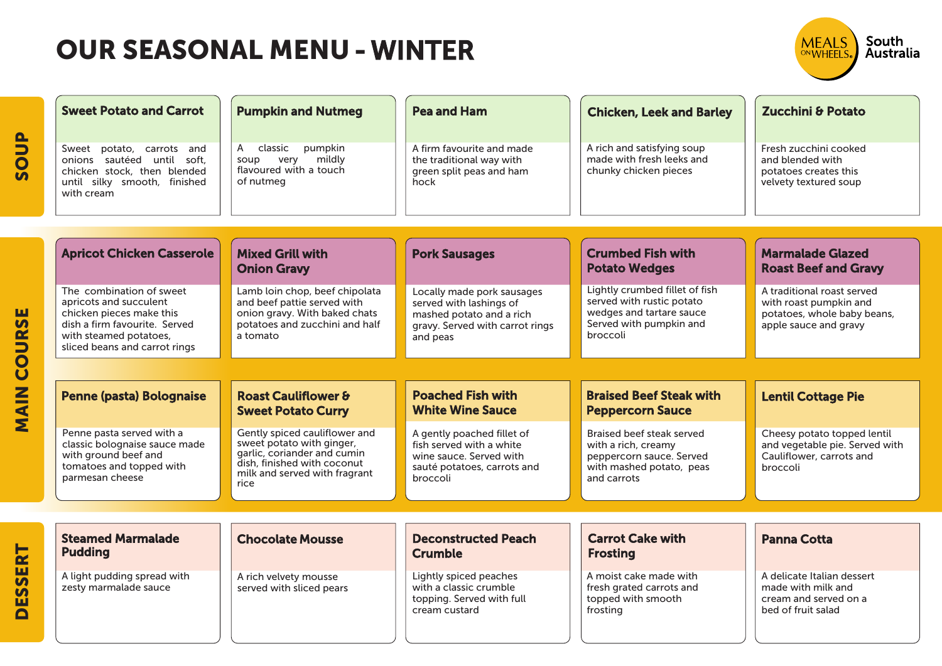SOUP

MAIN COURSE

**MAIN COURSE** 

DESSERT

**DESSERT** 

| <b>Sweet Potato and Carrot</b>                                                                                                                                             | <b>Pumpkin and Nutmeg</b>                                                                                                                                         | <b>Pea and Ham</b>                                                                                                               | <b>Chicken, Leek and Barley</b>                                                                                                | <b>Zucchini &amp; Potato</b>                                                                                 |
|----------------------------------------------------------------------------------------------------------------------------------------------------------------------------|-------------------------------------------------------------------------------------------------------------------------------------------------------------------|----------------------------------------------------------------------------------------------------------------------------------|--------------------------------------------------------------------------------------------------------------------------------|--------------------------------------------------------------------------------------------------------------|
| Sweet potato, carrots and<br>onions sautéed until soft,<br>chicken stock, then blended<br>until silky smooth, finished<br>with cream                                       | pumpkin<br>classic<br>A<br>mildly<br>very<br>soup<br>flavoured with a touch<br>of nutmeg                                                                          | A firm favourite and made<br>the traditional way with<br>green split peas and ham<br>hock                                        | A rich and satisfying soup<br>made with fresh leeks and<br>chunky chicken pieces                                               | Fresh zucchini cooked<br>and blended with<br>potatoes creates this<br>velvety textured soup                  |
| <b>Apricot Chicken Casserole</b>                                                                                                                                           | <b>Mixed Grill with</b><br><b>Onion Gravy</b>                                                                                                                     | <b>Pork Sausages</b>                                                                                                             | <b>Crumbed Fish with</b><br><b>Potato Wedges</b>                                                                               | <b>Marmalade Glazed</b><br><b>Roast Beef and Gravy</b>                                                       |
| The combination of sweet<br>apricots and succulent<br>chicken pieces make this<br>dish a firm favourite. Served<br>with steamed potatoes,<br>sliced beans and carrot rings | Lamb loin chop, beef chipolata<br>and beef pattie served with<br>onion gravy. With baked chats<br>potatoes and zucchini and half<br>a tomato                      | Locally made pork sausages<br>served with lashings of<br>mashed potato and a rich<br>gravy. Served with carrot rings<br>and peas | Lightly crumbed fillet of fish<br>served with rustic potato<br>wedges and tartare sauce<br>Served with pumpkin and<br>broccoli | A traditional roast served<br>with roast pumpkin and<br>potatoes, whole baby beans,<br>apple sauce and gravy |
|                                                                                                                                                                            |                                                                                                                                                                   |                                                                                                                                  |                                                                                                                                |                                                                                                              |
| <b>Penne (pasta) Bolognaise</b>                                                                                                                                            | <b>Roast Cauliflower &amp;</b><br><b>Sweet Potato Curry</b>                                                                                                       | <b>Poached Fish with</b><br><b>White Wine Sauce</b>                                                                              | <b>Braised Beef Steak with</b><br><b>Peppercorn Sauce</b>                                                                      | <b>Lentil Cottage Pie</b>                                                                                    |
| Penne pasta served with a<br>classic bolognaise sauce made<br>with ground beef and<br>tomatoes and topped with<br>parmesan cheese                                          | Gently spiced cauliflower and<br>sweet potato with ginger,<br>garlic, coriander and cumin<br>dish, finished with coconut<br>milk and served with fragrant<br>rice | A gently poached fillet of<br>fish served with a white<br>wine sauce. Served with<br>sauté potatoes, carrots and<br>broccoli     | Braised beef steak served<br>with a rich, creamy<br>peppercorn sauce. Served<br>with mashed potato, peas<br>and carrots        | Cheesy potato topped lentil<br>and vegetable pie. Served with<br>Cauliflower, carrots and<br>broccoli        |
|                                                                                                                                                                            |                                                                                                                                                                   |                                                                                                                                  |                                                                                                                                |                                                                                                              |
| <b>Steamed Marmalade</b><br><b>Pudding</b>                                                                                                                                 | <b>Chocolate Mousse</b>                                                                                                                                           | <b>Deconstructed Peach</b><br><b>Crumble</b>                                                                                     | <b>Carrot Cake with</b><br><b>Frosting</b>                                                                                     | <b>Panna Cotta</b>                                                                                           |
| A light pudding spread with<br>zesty marmalade sauce                                                                                                                       | A rich velvety mousse<br>served with sliced pears                                                                                                                 | Lightly spiced peaches<br>with a classic crumble<br>topping. Served with full                                                    | A moist cake made with<br>fresh grated carrots and<br>topped with smooth                                                       | A delicate Italian dessert<br>made with milk and<br>cream and served on a                                    |

cream custard

frosting

bed of fruit salad

South<br>Australia

MEALS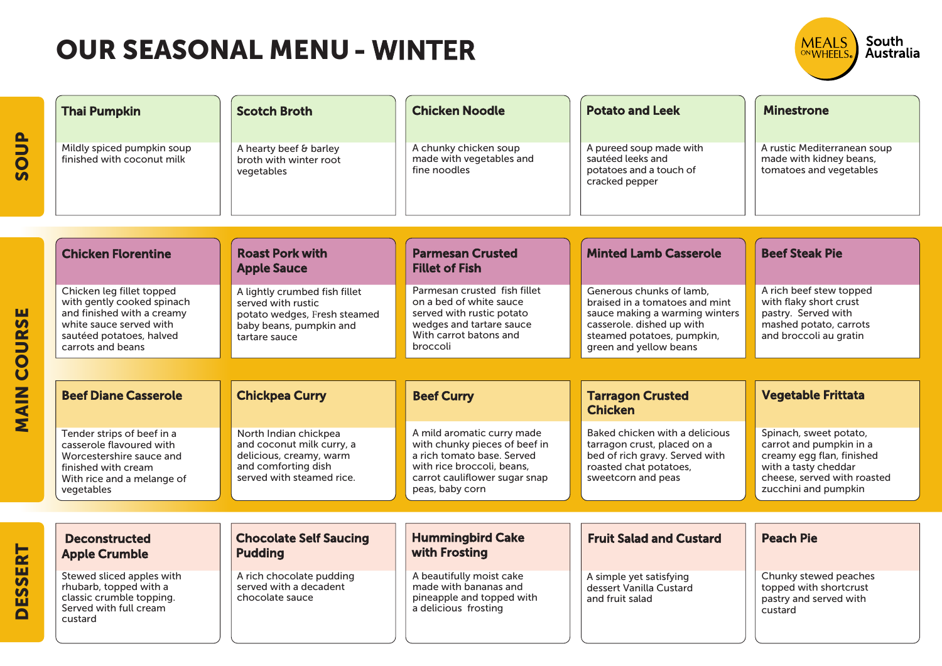| <b>Thai Pumpkin</b>                                                                                                                                               | <b>Scotch Broth</b>                                                                                                               | <b>Chicken Noodle</b>                                                                                                                                                       | <b>Potato and Leek</b>                                                                                                                                                            | <b>Minestrone</b>                                                                                                                                             |
|-------------------------------------------------------------------------------------------------------------------------------------------------------------------|-----------------------------------------------------------------------------------------------------------------------------------|-----------------------------------------------------------------------------------------------------------------------------------------------------------------------------|-----------------------------------------------------------------------------------------------------------------------------------------------------------------------------------|---------------------------------------------------------------------------------------------------------------------------------------------------------------|
| Mildly spiced pumpkin soup<br>finished with coconut milk                                                                                                          | A hearty beef & barley<br>broth with winter root<br>vegetables                                                                    | A chunky chicken soup<br>made with vegetables and<br>fine noodles                                                                                                           | A pureed soup made with<br>sautéed leeks and<br>potatoes and a touch of<br>cracked pepper                                                                                         | A rustic Mediterranean soup<br>made with kidney beans,<br>tomatoes and vegetables                                                                             |
|                                                                                                                                                                   |                                                                                                                                   |                                                                                                                                                                             |                                                                                                                                                                                   |                                                                                                                                                               |
| <b>Chicken Florentine</b>                                                                                                                                         | <b>Roast Pork with</b><br><b>Apple Sauce</b>                                                                                      | <b>Parmesan Crusted</b><br><b>Fillet of Fish</b>                                                                                                                            | <b>Minted Lamb Casserole</b>                                                                                                                                                      | <b>Beef Steak Pie</b>                                                                                                                                         |
| Chicken leg fillet topped<br>with gently cooked spinach<br>and finished with a creamy<br>white sauce served with<br>sautéed potatoes, halved<br>carrots and beans | A lightly crumbed fish fillet<br>served with rustic<br>potato wedges, Fresh steamed<br>baby beans, pumpkin and<br>tartare sauce   | Parmesan crusted fish fillet<br>on a bed of white sauce<br>served with rustic potato<br>wedges and tartare sauce<br>With carrot batons and<br>broccoli                      | Generous chunks of lamb.<br>braised in a tomatoes and mint<br>sauce making a warming winters<br>casserole. dished up with<br>steamed potatoes, pumpkin,<br>green and yellow beans | A rich beef stew topped<br>with flaky short crust<br>pastry. Served with<br>mashed potato, carrots<br>and broccoli au gratin                                  |
|                                                                                                                                                                   |                                                                                                                                   |                                                                                                                                                                             |                                                                                                                                                                                   |                                                                                                                                                               |
| <b>Beef Diane Casserole</b>                                                                                                                                       | <b>Chickpea Curry</b>                                                                                                             | <b>Beef Curry</b>                                                                                                                                                           | <b>Tarragon Crusted</b><br><b>Chicken</b>                                                                                                                                         | <b>Vegetable Frittata</b>                                                                                                                                     |
| Tender strips of beef in a<br>casserole flavoured with<br>Worcestershire sauce and<br>finished with cream<br>With rice and a melange of<br>vegetables             | North Indian chickpea<br>and coconut milk curry, a<br>delicious, creamy, warm<br>and comforting dish<br>served with steamed rice. | A mild aromatic curry made<br>with chunky pieces of beef in<br>a rich tomato base. Served<br>with rice broccoli, beans,<br>carrot cauliflower sugar snap<br>peas, baby corn | Baked chicken with a delicious<br>tarragon crust, placed on a<br>bed of rich gravy. Served with<br>roasted chat potatoes,<br>sweetcorn and peas                                   | Spinach, sweet potato,<br>carrot and pumpkin in a<br>creamy egg flan, finished<br>with a tasty cheddar<br>cheese, served with roasted<br>zucchini and pumpkin |
|                                                                                                                                                                   |                                                                                                                                   |                                                                                                                                                                             |                                                                                                                                                                                   |                                                                                                                                                               |
|                                                                                                                                                                   |                                                                                                                                   |                                                                                                                                                                             |                                                                                                                                                                                   |                                                                                                                                                               |

South<br>Australia

MEALS

| <b>Deconstructed</b><br><b>Apple Crumble</b>                                                                         | <b>Chocolate Self Saucing</b><br><b>Pudding</b>                       | <b>Hummingbird Cake</b><br>with Frosting                                                               | <b>Fruit Salad and Custard</b>                                        | <b>Peach Pie</b>                                                                     |
|----------------------------------------------------------------------------------------------------------------------|-----------------------------------------------------------------------|--------------------------------------------------------------------------------------------------------|-----------------------------------------------------------------------|--------------------------------------------------------------------------------------|
| Stewed sliced apples with<br>rhubarb, topped with a<br>classic crumble topping.<br>Served with full cream<br>custard | A rich chocolate pudding<br>served with a decadent<br>chocolate sauce | A beautifully moist cake<br>made with bananas and<br>pineapple and topped with<br>a delicious frosting | A simple yet satisfying<br>dessert Vanilla Custard<br>and fruit salad | Chunky stewed peaches<br>topped with shortcrust<br>pastry and served with<br>custard |

DESSERT

**DESSERT** 

SOUP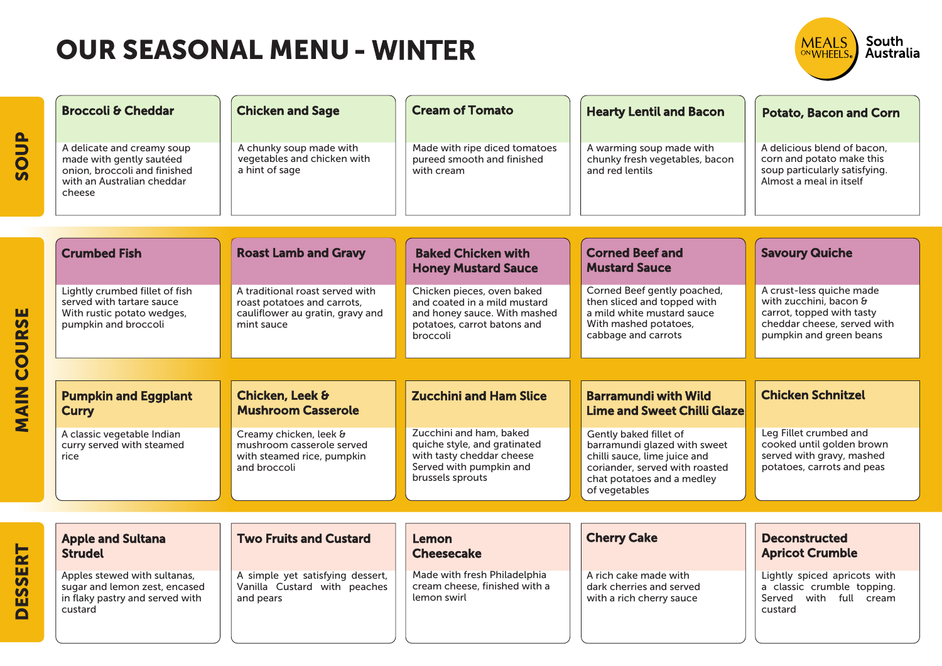| <b>Broccoli &amp; Cheddar</b>                                                                                                  | <b>Chicken and Sage</b>                                                                                          | <b>Cream of Tomato</b>                                                                                                                | <b>Hearty Lentil and Bacon</b>                                                                                                                                          | <b>Potato, Bacon and Corn</b>                                                                                                             |
|--------------------------------------------------------------------------------------------------------------------------------|------------------------------------------------------------------------------------------------------------------|---------------------------------------------------------------------------------------------------------------------------------------|-------------------------------------------------------------------------------------------------------------------------------------------------------------------------|-------------------------------------------------------------------------------------------------------------------------------------------|
| A delicate and creamy soup<br>made with gently sautéed<br>onion, broccoli and finished<br>with an Australian cheddar<br>cheese | A chunky soup made with<br>vegetables and chicken with<br>a hint of sage                                         | Made with ripe diced tomatoes<br>pureed smooth and finished<br>with cream                                                             | A warming soup made with<br>chunky fresh vegetables, bacon<br>and red lentils                                                                                           | A delicious blend of bacon.<br>corn and potato make this<br>soup particularly satisfying.<br>Almost a meal in itself                      |
|                                                                                                                                |                                                                                                                  |                                                                                                                                       |                                                                                                                                                                         |                                                                                                                                           |
| <b>Crumbed Fish</b>                                                                                                            | <b>Roast Lamb and Gravy</b>                                                                                      | <b>Baked Chicken with</b><br><b>Honey Mustard Sauce</b>                                                                               | <b>Corned Beef and</b><br><b>Mustard Sauce</b>                                                                                                                          | <b>Savoury Quiche</b>                                                                                                                     |
| Lightly crumbed fillet of fish<br>served with tartare sauce<br>With rustic potato wedges,<br>pumpkin and broccoli              | A traditional roast served with<br>roast potatoes and carrots,<br>cauliflower au gratin, gravy and<br>mint sauce | Chicken pieces, oven baked<br>and coated in a mild mustard<br>and honey sauce. With mashed<br>potatoes, carrot batons and<br>broccoli | Corned Beef gently poached,<br>then sliced and topped with<br>a mild white mustard sauce<br>With mashed potatoes,<br>cabbage and carrots                                | A crust-less quiche made<br>with zucchini, bacon &<br>carrot, topped with tasty<br>cheddar cheese, served with<br>pumpkin and green beans |
|                                                                                                                                |                                                                                                                  |                                                                                                                                       |                                                                                                                                                                         |                                                                                                                                           |
| <b>Pumpkin and Eggplant</b><br>Curry                                                                                           | Chicken, Leek &<br><b>Mushroom Casserole</b>                                                                     | <b>Zucchini and Ham Slice</b>                                                                                                         | <b>Barramundi with Wild</b><br><b>Lime and Sweet Chilli Glaze</b>                                                                                                       | <b>Chicken Schnitzel</b>                                                                                                                  |
| A classic vegetable Indian<br>curry served with steamed<br>rice                                                                | Creamy chicken, leek &<br>mushroom casserole served<br>with steamed rice, pumpkin<br>and broccoli                | Zucchini and ham, baked<br>quiche style, and gratinated<br>with tasty cheddar cheese<br>Served with pumpkin and<br>brussels sprouts   | Gently baked fillet of<br>barramundi glazed with sweet<br>chilli sauce, lime juice and<br>coriander, served with roasted<br>chat potatoes and a medley<br>of vegetables | Leg Fillet crumbed and<br>cooked until golden brown<br>served with gravy, mashed<br>potatoes, carrots and peas                            |

South<br>Australia

MEALS

| <b>Apple and Sultana</b><br><b>Strudel</b>                                                                  | <b>Two Fruits and Custard</b>                                                 | Lemon<br><b>Cheesecake</b>                                                   | <b>Cherry Cake</b>                                                            | <b>Deconstructed</b><br><b>Apricot Crumble</b>                                                              |
|-------------------------------------------------------------------------------------------------------------|-------------------------------------------------------------------------------|------------------------------------------------------------------------------|-------------------------------------------------------------------------------|-------------------------------------------------------------------------------------------------------------|
| Apples stewed with sultanas,<br>sugar and lemon zest, encased<br>in flaky pastry and served with<br>custard | A simple yet satisfying dessert,<br>Vanilla Custard with peaches<br>and pears | Made with fresh Philadelphia<br>cream cheese, finished with a<br>lemon swirl | A rich cake made with<br>dark cherries and served<br>with a rich cherry sauce | Lightly spiced apricots with<br>classic crumble topping.<br>a<br>with<br>full<br>Served<br>cream<br>custard |

SOUP

**MAIN COURSE** MAIN COURSE

DESSERT

**DESSERT**